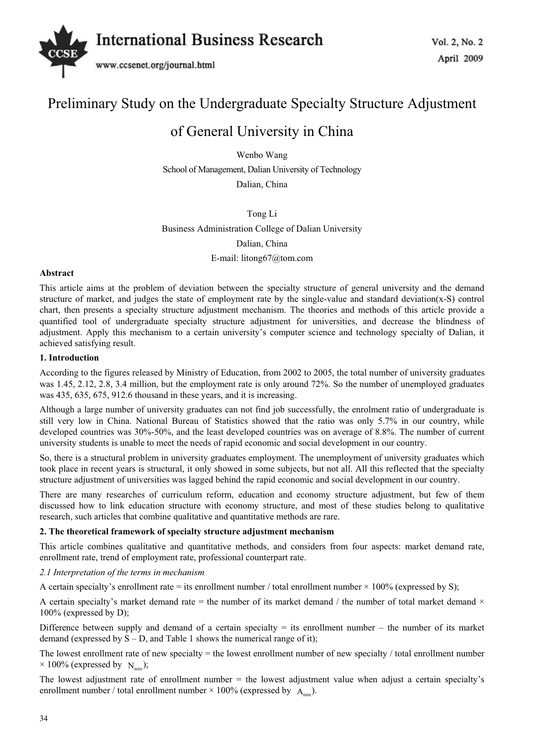

# Preliminary Study on the Undergraduate Specialty Structure Adjustment

# of General University in China

Wenbo Wang School of Management, Dalian University of Technology Dalian, China

Tong Li

Business Administration College of Dalian University

Dalian, China

E-mail: litong67@tom.com

## **Abstract**

This article aims at the problem of deviation between the specialty structure of general university and the demand structure of market, and judges the state of employment rate by the single-value and standard deviation(x-S) control chart, then presents a specialty structure adjustment mechanism. The theories and methods of this article provide a quantified tool of undergraduate specialty structure adjustment for universities, and decrease the blindness of adjustment. Apply this mechanism to a certain university's computer science and technology specialty of Dalian, it achieved satisfying result.

## **1. Introduction**

According to the figures released by Ministry of Education, from 2002 to 2005, the total number of university graduates was 1.45, 2.12, 2.8, 3.4 million, but the employment rate is only around 72%. So the number of unemployed graduates was 435, 635, 675, 912.6 thousand in these years, and it is increasing.

Although a large number of university graduates can not find job successfully, the enrolment ratio of undergraduate is still very low in China. National Bureau of Statistics showed that the ratio was only 5.7% in our country, while developed countries was 30%-50%, and the least developed countries was on average of 8.8%. The number of current university students is unable to meet the needs of rapid economic and social development in our country.

So, there is a structural problem in university graduates employment. The unemployment of university graduates which took place in recent years is structural, it only showed in some subjects, but not all. All this reflected that the specialty structure adjustment of universities was lagged behind the rapid economic and social development in our country.

There are many researches of curriculum reform, education and economy structure adjustment, but few of them discussed how to link education structure with economy structure, and most of these studies belong to qualitative research, such articles that combine qualitative and quantitative methods are rare.

## **2. The theoretical framework of specialty structure adjustment mechanism**

This article combines qualitative and quantitative methods, and considers from four aspects: market demand rate, enrollment rate, trend of employment rate, professional counterpart rate.

### *2.1 Interpretation of the terms in mechanism*

A certain specialty's enrollment rate = its enrollment number  $/$  total enrollment number  $\times$  100% (expressed by S);

A certain specialty's market demand rate = the number of its market demand / the number of total market demand  $\times$ 100% (expressed by D);

Difference between supply and demand of a certain specialty  $=$  its enrollment number – the number of its market demand (expressed by  $S - D$ , and Table 1 shows the numerical range of it);

The lowest enrollment rate of new specialty = the lowest enrollment number of new specialty / total enrollment number  $\times$  100% (expressed by  $N_{\text{min}}$ );

The lowest adjustment rate of enrollment number = the lowest adjustment value when adjust a certain specialty's enrollment number / total enrollment number  $\times$  100% (expressed by  $A_{\text{min}}$ ).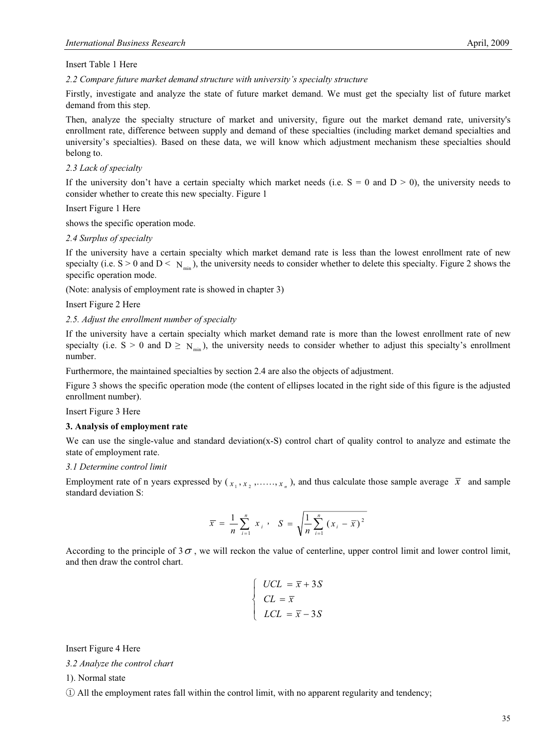Insert Table 1 Here

*2.2 Compare future market demand structure with university's specialty structure* 

Firstly, investigate and analyze the state of future market demand. We must get the specialty list of future market demand from this step.

Then, analyze the specialty structure of market and university, figure out the market demand rate, university's enrollment rate, difference between supply and demand of these specialties (including market demand specialties and university's specialties). Based on these data, we will know which adjustment mechanism these specialties should belong to.

#### *2.3 Lack of specialty*

If the university don't have a certain specialty which market needs (i.e.  $S = 0$  and  $D > 0$ ), the university needs to consider whether to create this new specialty. Figure 1

Insert Figure 1 Here

shows the specific operation mode.

#### *2.4 Surplus of specialty*

If the university have a certain specialty which market demand rate is less than the lowest enrollment rate of new specialty (i.e.  $S > 0$  and  $D < N_{min}$ ), the university needs to consider whether to delete this specialty. Figure 2 shows the specific operation mode.

(Note: analysis of employment rate is showed in chapter 3)

Insert Figure 2 Here

#### *2.5. Adjust the enrollment number of specialty*

If the university have a certain specialty which market demand rate is more than the lowest enrollment rate of new specialty (i.e.  $S > 0$  and  $D \ge N_{min}$ ), the university needs to consider whether to adjust this specialty's enrollment number.

Furthermore, the maintained specialties by section 2.4 are also the objects of adjustment.

Figure 3 shows the specific operation mode (the content of ellipses located in the right side of this figure is the adjusted enrollment number).

Insert Figure 3 Here

#### **3. Analysis of employment rate**

We can use the single-value and standard deviation(x-S) control chart of quality control to analyze and estimate the state of employment rate.

#### *3.1 Determine control limit*

Employment rate of n years expressed by  $(x_1, x_2, \ldots, x_n)$ , and thus calculate those sample average  $\bar{x}$  and sample standard deviation S:

$$
\bar{x} = \frac{1}{n} \sum_{i=1}^{n} x_i , \quad S = \sqrt{\frac{1}{n} \sum_{i=1}^{n} (x_i - \bar{x})^2}
$$

According to the principle of  $3\sigma$ , we will reckon the value of centerline, upper control limit and lower control limit, and then draw the control chart.

$$
\begin{cases}\nUCL = \overline{x} + 3S \\
CL = \overline{x} \\
LCL = \overline{x} - 3S\n\end{cases}
$$

Insert Figure 4 Here

*3.2 Analyze the control chart* 

1). Normal state

ķ All the employment rates fall within the control limit, with no apparent regularity and tendency;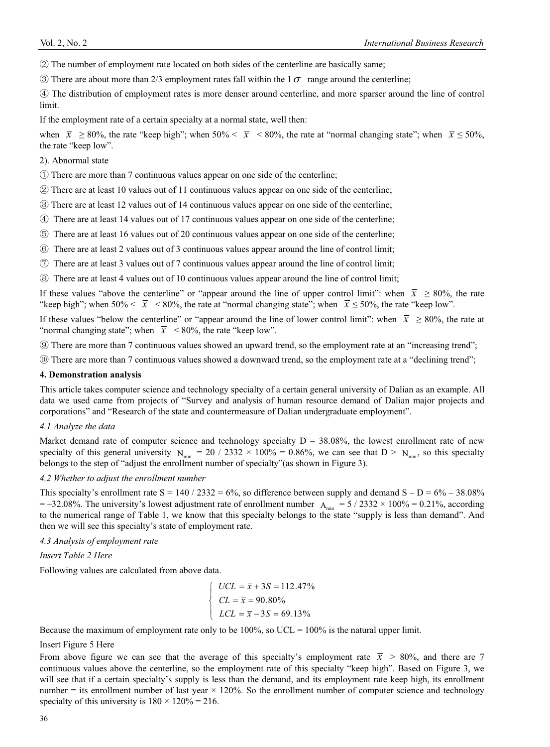$(2)$  The number of employment rate located on both sides of the centerline are basically same;

 $\circled{3}$  There are about more than 2/3 employment rates fall within the 1 $\sigma$  range around the centerline;

ĺ The distribution of employment rates is more denser around centerline, and more sparser around the line of control limit.

If the employment rate of a certain specialty at a normal state, well then:

when  $\bar{x} \ge 80\%$ , the rate "keep high"; when 50% <  $\bar{x}$  < 80%, the rate at "normal changing state"; when  $\bar{x} \le 50\%$ , the rate "keep low".

2). Abnormal state

ķ There are more than 7 continuous values appear on one side of the centerline;

 $\circled{2}$  There are at least 10 values out of 11 continuous values appear on one side of the centerline;

Ĺ There are at least 12 values out of 14 continuous values appear on one side of the centerline;

ĺ There are at least 14 values out of 17 continuous values appear on one side of the centerline;

Ļ There are at least 16 values out of 20 continuous values appear on one side of the centerline;

- ļ There are at least 2 values out of 3 continuous values appear around the line of control limit;
- $\overline{C}$  There are at least 3 values out of 7 continuous values appear around the line of control limit;
- ľ There are at least 4 values out of 10 continuous values appear around the line of control limit;

If these values "above the centerline" or "appear around the line of upper control limit": when  $\bar{x} \ge 80\%$ , the rate "keep high"; when  $50\% < \bar{x} < 80\%$ , the rate at "normal changing state"; when  $\bar{x} \le 50\%$ , the rate "keep low".

If these values "below the centerline" or "appear around the line of lower control limit": when  $\bar{x} \ge 80\%$ , the rate at "normal changing state"; when  $\bar{x}$  < 80%, the rate "keep low".

<sup>(9)</sup> There are more than 7 continuous values showed an upward trend, so the employment rate at an "increasing trend";

**ID** There are more than 7 continuous values showed a downward trend, so the employment rate at a "declining trend";

#### **4. Demonstration analysis**

This article takes computer science and technology specialty of a certain general university of Dalian as an example. All data we used came from projects of "Survey and analysis of human resource demand of Dalian major projects and corporations" and "Research of the state and countermeasure of Dalian undergraduate employment".

### *4.1 Analyze the data*

Market demand rate of computer science and technology specialty  $D = 38.08\%$ , the lowest enrollment rate of new specialty of this general university  $N_{min} = 20 / 2332 \times 100\% = 0.86\%$ , we can see that  $D > N_{min}$ , so this specialty belongs to the step of "adjust the enrollment number of specialty"(as shown in Figure 3).

#### *4.2 Whether to adjust the enrollment number*

This specialty's enrollment rate  $S = 140 / 2332 = 6\%$ , so difference between supply and demand  $S - D = 6\% - 38.08\%$  $= -32.08\%$ . The university's lowest adjustment rate of enrollment number  $A_{min} = 5 / 2332 \times 100\% = 0.21\%$ , according to the numerical range of Table 1, we know that this specialty belongs to the state "supply is less than demand". And then we will see this specialty's state of employment rate.

*4.3 Analysis of employment rate* 

## *Insert Table 2 Here*

Following values are calculated from above data.

$$
\begin{cases}\nUCL = \bar{x} + 3S = 112.47\% \\
CL = \bar{x} = 90.80\% \\
LCL = \bar{x} - 3S = 69.13\%\n\end{cases}
$$

Because the maximum of employment rate only to be 100%, so  $UCL = 100\%$  is the natural upper limit.

Insert Figure 5 Here

From above figure we can see that the average of this specialty's employment rate  $\bar{x} > 80\%$ , and there are 7 continuous values above the centerline, so the employment rate of this specialty "keep high". Based on Figure 3, we will see that if a certain specialty's supply is less than the demand, and its employment rate keep high, its enrollment number  $=$  its enrollment number of last year  $\times$  120%. So the enrollment number of computer science and technology specialty of this university is  $180 \times 120\% = 216$ .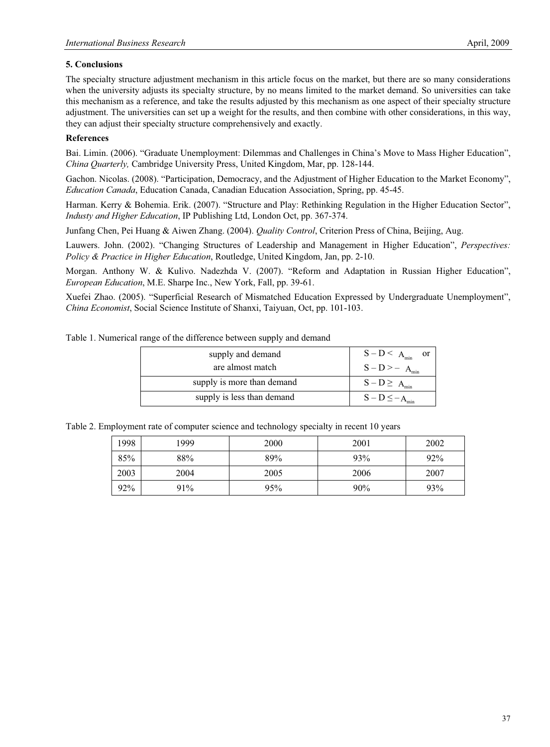# **5. Conclusions**

The specialty structure adjustment mechanism in this article focus on the market, but there are so many considerations when the university adjusts its specialty structure, by no means limited to the market demand. So universities can take this mechanism as a reference, and take the results adjusted by this mechanism as one aspect of their specialty structure adjustment. The universities can set up a weight for the results, and then combine with other considerations, in this way, they can adjust their specialty structure comprehensively and exactly.

# **References**

Bai. Limin. (2006). "Graduate Unemployment: Dilemmas and Challenges in China's Move to Mass Higher Education", *China Quarterly,* Cambridge University Press, United Kingdom, Mar, pp. 128-144.

Gachon. Nicolas. (2008). "Participation, Democracy, and the Adjustment of Higher Education to the Market Economy", *Education Canada*, Education Canada, Canadian Education Association, Spring, pp. 45-45.

Harman. Kerry & Bohemia. Erik. (2007). "Structure and Play: Rethinking Regulation in the Higher Education Sector", *Industy and Higher Education*, IP Publishing Ltd, London Oct, pp. 367-374.

Junfang Chen, Pei Huang & Aiwen Zhang. (2004). *Quality Control*, Criterion Press of China, Beijing, Aug.

Lauwers. John. (2002). "Changing Structures of Leadership and Management in Higher Education", *Perspectives: Policy & Practice in Higher Education*, Routledge, United Kingdom, Jan, pp. 2-10.

Morgan. Anthony W. & Kulivo. Nadezhda V. (2007). "Reform and Adaptation in Russian Higher Education", *European Education*, M.E. Sharpe Inc., New York, Fall, pp. 39-61.

Xuefei Zhao. (2005). "Superficial Research of Mismatched Education Expressed by Undergraduate Unemployment", *China Economist*, Social Science Institute of Shanxi, Taiyuan, Oct, pp. 101-103.

|  |  |  |  | Table 1. Numerical range of the difference between supply and demand |  |
|--|--|--|--|----------------------------------------------------------------------|--|
|  |  |  |  |                                                                      |  |

| supply and demand          | $S-D \leq A_{\min}$<br><sub>or</sub> |  |  |
|----------------------------|--------------------------------------|--|--|
| are almost match           | $S-D \ge -A_{\min}$                  |  |  |
| supply is more than demand | $S-D \geq A_{\min}$                  |  |  |
| supply is less than demand | $S - D \leq -A_{min}$                |  |  |

Table 2. Employment rate of computer science and technology specialty in recent 10 years

| 1998 | 1999 | 2000 | 2001 | 2002 |
|------|------|------|------|------|
| 85%  | 88%  | 89%  | 93%  | 92%  |
| 2003 | 2004 | 2005 | 2006 | 2007 |
| 92%  | 91%  | 95%  | 90%  | 93%  |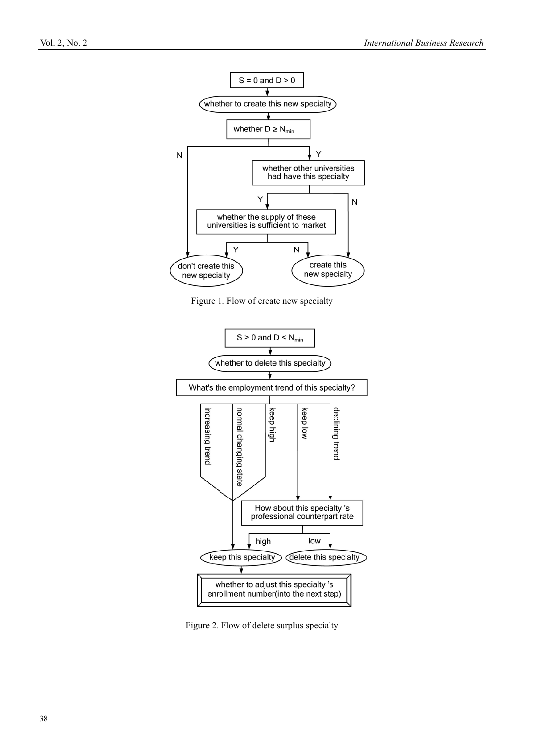

Figure 1. Flow of create new specialty



Figure 2. Flow of delete surplus specialty